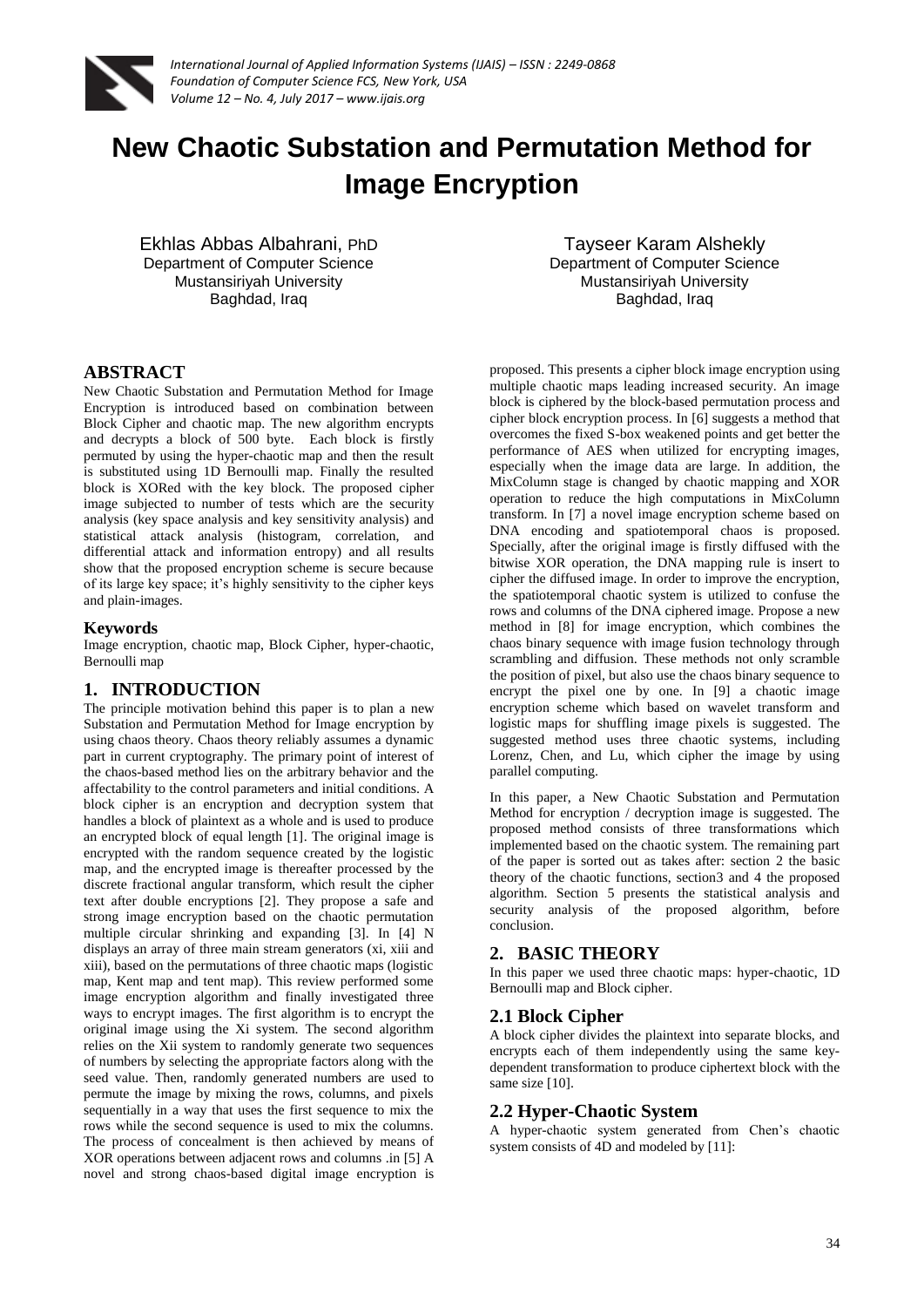

# **New Chaotic Substation and Permutation Method for Image Encryption**

Ekhlas Abbas Albahrani, PhD Department of Computer Science Mustansiriyah University Baghdad, Iraq

Tayseer Karam Alshekly Department of Computer Science Mustansiriyah University Baghdad, Iraq

# **ABSTRACT**

New Chaotic Substation and Permutation Method for Image Encryption is introduced based on combination between Block Cipher and chaotic map. The new algorithm encrypts and decrypts a block of 500 byte. Each block is firstly permuted by using the hyper-chaotic map and then the result is substituted using 1D Bernoulli map. Finally the resulted block is XORed with the key block. The proposed cipher image subjected to number of tests which are the security analysis (key space analysis and key sensitivity analysis) and statistical attack analysis (histogram, correlation, and differential attack and information entropy) and all results show that the proposed encryption scheme is secure because of its large key space; it's highly sensitivity to the cipher keys and plain-images.

#### **Keywords**

Image encryption, chaotic map, Block Cipher, hyper-chaotic, Bernoulli map

# **1. INTRODUCTION**

The principle motivation behind this paper is to plan a new Substation and Permutation Method for Image encryption by using chaos theory. Chaos theory reliably assumes a dynamic part in current cryptography. The primary point of interest of the chaos-based method lies on the arbitrary behavior and the affectability to the control parameters and initial conditions. A block cipher is an encryption and decryption system that handles a block of plaintext as a whole and is used to produce an encrypted block of equal length [1]. The original image is encrypted with the random sequence created by the logistic map, and the encrypted image is thereafter processed by the discrete fractional angular transform, which result the cipher text after double encryptions [2]. They propose a safe and strong image encryption based on the chaotic permutation multiple circular shrinking and expanding [3]. In [4] N displays an array of three main stream generators (xi, xiii and xiii), based on the permutations of three chaotic maps (logistic map, Kent map and tent map). This review performed some image encryption algorithm and finally investigated three ways to encrypt images. The first algorithm is to encrypt the original image using the Xi system. The second algorithm relies on the Xii system to randomly generate two sequences of numbers by selecting the appropriate factors along with the seed value. Then, randomly generated numbers are used to permute the image by mixing the rows, columns, and pixels sequentially in a way that uses the first sequence to mix the rows while the second sequence is used to mix the columns. The process of concealment is then achieved by means of XOR operations between adjacent rows and columns .in [5] A novel and strong chaos-based digital image encryption is

proposed. This presents a cipher block image encryption using multiple chaotic maps leading increased security. An image block is ciphered by the block-based permutation process and cipher block encryption process. In [6] suggests a method that overcomes the fixed S-box weakened points and get better the performance of AES when utilized for encrypting images, especially when the image data are large. In addition, the MixColumn stage is changed by chaotic mapping and XOR operation to reduce the high computations in MixColumn transform. In [7] a novel image encryption scheme based on DNA encoding and spatiotemporal chaos is proposed. Specially, after the original image is firstly diffused with the bitwise XOR operation, the DNA mapping rule is insert to cipher the diffused image. In order to improve the encryption, the spatiotemporal chaotic system is utilized to confuse the rows and columns of the DNA ciphered image. Propose a new method in [8] for image encryption, which combines the chaos binary sequence with image fusion technology through scrambling and diffusion. These methods not only scramble the position of pixel, but also use the chaos binary sequence to encrypt the pixel one by one. In [9] a chaotic image encryption scheme which based on wavelet transform and logistic maps for shuffling image pixels is suggested. The suggested method uses three chaotic systems, including Lorenz, Chen, and Lu, which cipher the image by using parallel computing.

In this paper, a New Chaotic Substation and Permutation Method for encryption / decryption image is suggested. The proposed method consists of three transformations which implemented based on the chaotic system. The remaining part of the paper is sorted out as takes after: section 2 the basic theory of the chaotic functions, section3 and 4 the proposed algorithm. Section 5 presents the statistical analysis and security analysis of the proposed algorithm, before conclusion.

## **2. BASIC THEORY**

In this paper we used three chaotic maps: hyper-chaotic, 1D Bernoulli map and Block cipher.

## **2.1 Block Cipher**

A block cipher divides the plaintext into separate blocks, and encrypts each of them independently using the same keydependent transformation to produce ciphertext block with the same size [10].

## **2.2 Hyper-Chaotic System**

A hyper-chaotic system generated from Chen's chaotic system consists of 4D and modeled by [11]: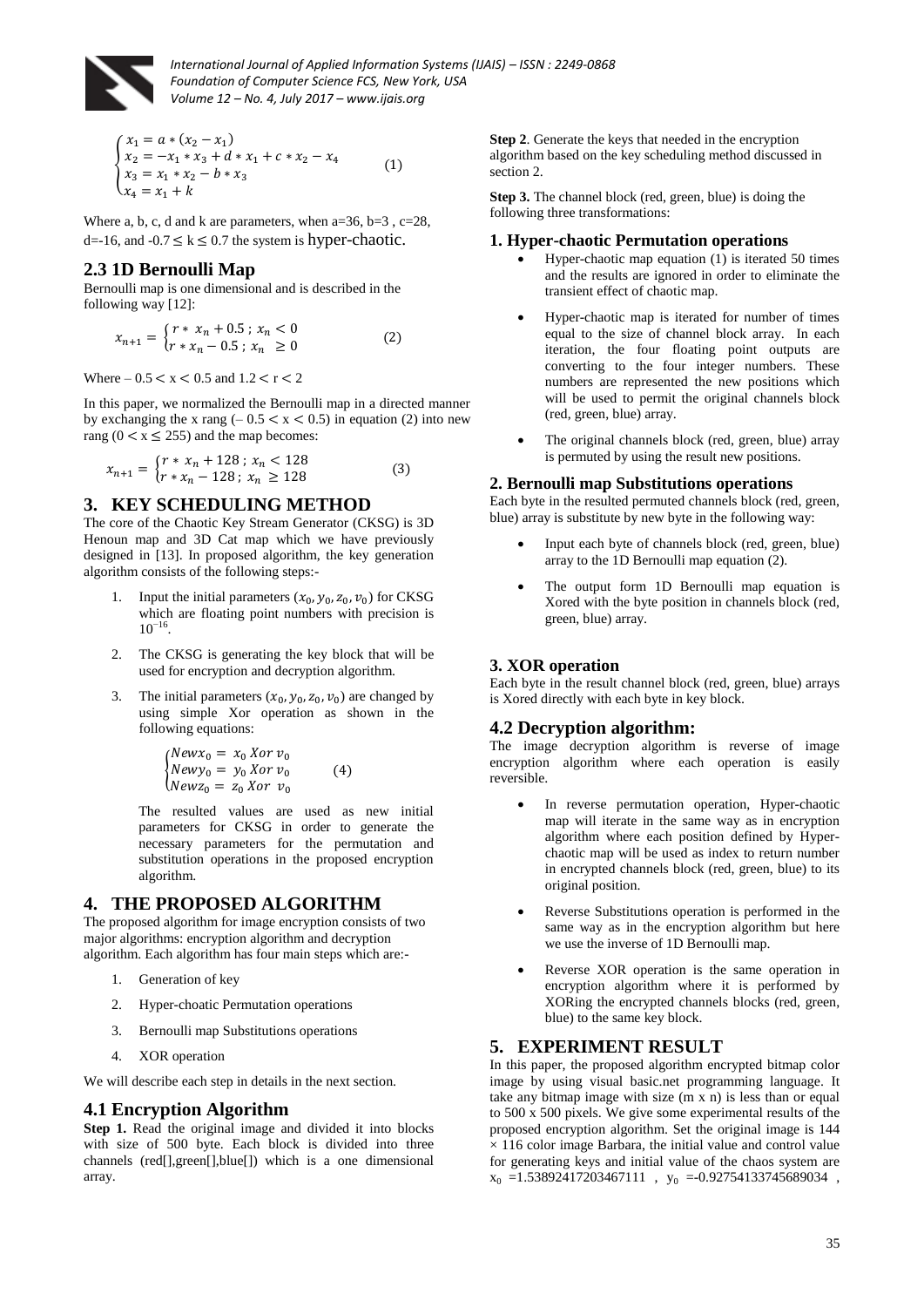

$$
\begin{cases}\n x_1 = a * (x_2 - x_1) \\
 x_2 = -x_1 * x_3 + d * x_1 + c * x_2 - x_4 \\
 x_3 = x_1 * x_2 - b * x_3 \\
 x_4 = x_1 + k\n\end{cases}
$$
\n(1)

Where a, b, c, d and k are parameters, when  $a=36$ ,  $b=3$ ,  $c=28$ , d=-16, and  $-0.7 \le k \le 0.7$  the system is hyper-chaotic.

## **2.3 1D Bernoulli Map**

Bernoulli map is one dimensional and is described in the following way [12]:

$$
x_{n+1} = \begin{cases} r * x_n + 0.5 \; ; \; x_n < 0 \\ r * x_n - 0.5 \; ; \; x_n \ge 0 \end{cases} \tag{2}
$$

Where  $-0.5 < x < 0.5$  and  $1.2 < r < 2$ 

In this paper, we normalized the Bernoulli map in a directed manner by exchanging the x rang  $(-0.5 < x < 0.5)$  in equation (2) into new rang ( $0 \le x \le 255$ ) and the map becomes:

$$
x_{n+1} = \begin{cases} r * x_n + 128 \, ; \, x_n < 128 \\ r * x_n - 128 \, ; \, x_n \ge 128 \end{cases} \tag{3}
$$

# **3. KEY SCHEDULING METHOD**

The core of the Chaotic Key Stream Generator (CKSG) is 3D Henoun map and 3D Cat map which we have previously designed in [13]. In proposed algorithm, the key generation algorithm consists of the following steps:-

- 1. Input the initial parameters  $(x_0, y_0, z_0, v_0)$  for CKSG which are floating point numbers with precision is  $10^{-16}$ .
- 2. The CKSG is generating the key block that will be used for encryption and decryption algorithm.
- 3. The initial parameters  $(x_0, y_0, z_0, v_0)$  are changed by using simple Xor operation as shown in the following equations:

$$
\begin{cases}\nNewx_0 = x_0 X or v_0 \\
Newy_0 = y_0 X or v_0 \\
Newz_0 = z_0 X or v_0\n\end{cases} \tag{4}
$$

The resulted values are used as new initial parameters for CKSG in order to generate the necessary parameters for the permutation and substitution operations in the proposed encryption algorithm.

# **4. THE PROPOSED ALGORITHM**

The proposed algorithm for image encryption consists of two major algorithms: encryption algorithm and decryption algorithm. Each algorithm has four main steps which are:-

- 1. Generation of key
- 2. Hyper-choatic Permutation operations
- 3. Bernoulli map Substitutions operations
- 4. XOR operation

We will describe each step in details in the next section.

## **4.1 Encryption Algorithm**

**Step 1.** Read the original image and divided it into blocks with size of 500 byte. Each block is divided into three channels (red[],green[],blue[]) which is a one dimensional array.

**Step 2**. Generate the keys that needed in the encryption algorithm based on the key scheduling method discussed in section 2.

**Step 3.** The channel block (red, green, blue) is doing the following three transformations:

#### **1. Hyper-chaotic Permutation operations**

- Hyper-chaotic map equation (1) is iterated 50 times and the results are ignored in order to eliminate the transient effect of chaotic map.
- Hyper-chaotic map is iterated for number of times equal to the size of channel block array. In each iteration, the four floating point outputs are converting to the four integer numbers. These numbers are represented the new positions which will be used to permit the original channels block (red, green, blue) array.
- The original channels block (red, green, blue) array is permuted by using the result new positions.

#### **2. Bernoulli map Substitutions operations**

Each byte in the resulted permuted channels block (red, green, blue) array is substitute by new byte in the following way:

- Input each byte of channels block (red, green, blue) array to the 1D Bernoulli map equation (2).
- The output form 1D Bernoulli map equation is Xored with the byte position in channels block (red, green, blue) array.

# **3. XOR operation**

Each byte in the result channel block (red, green, blue) arrays is Xored directly with each byte in key block.

## **4.2 Decryption algorithm:**

The image decryption algorithm is reverse of image encryption algorithm where each operation is easily reversible.

- In reverse permutation operation, Hyper-chaotic map will iterate in the same way as in encryption algorithm where each position defined by Hyperchaotic map will be used as index to return number in encrypted channels block (red, green, blue) to its original position.
- Reverse Substitutions operation is performed in the same way as in the encryption algorithm but here we use the inverse of 1D Bernoulli map.
- Reverse XOR operation is the same operation in encryption algorithm where it is performed by XORing the encrypted channels blocks (red, green, blue) to the same key block.

## **5. EXPERIMENT RESULT**

In this paper, the proposed algorithm encrypted bitmap color image by using visual basic.net programming language. It take any bitmap image with size (m x n) is less than or equal to 500 x 500 pixels. We give some experimental results of the proposed encryption algorithm. Set the original image is 144  $\times$  116 color image Barbara, the initial value and control value for generating keys and initial value of the chaos system are  $x_0$  =1.53892417203467111,  $y_0$  =-0.92754133745689034,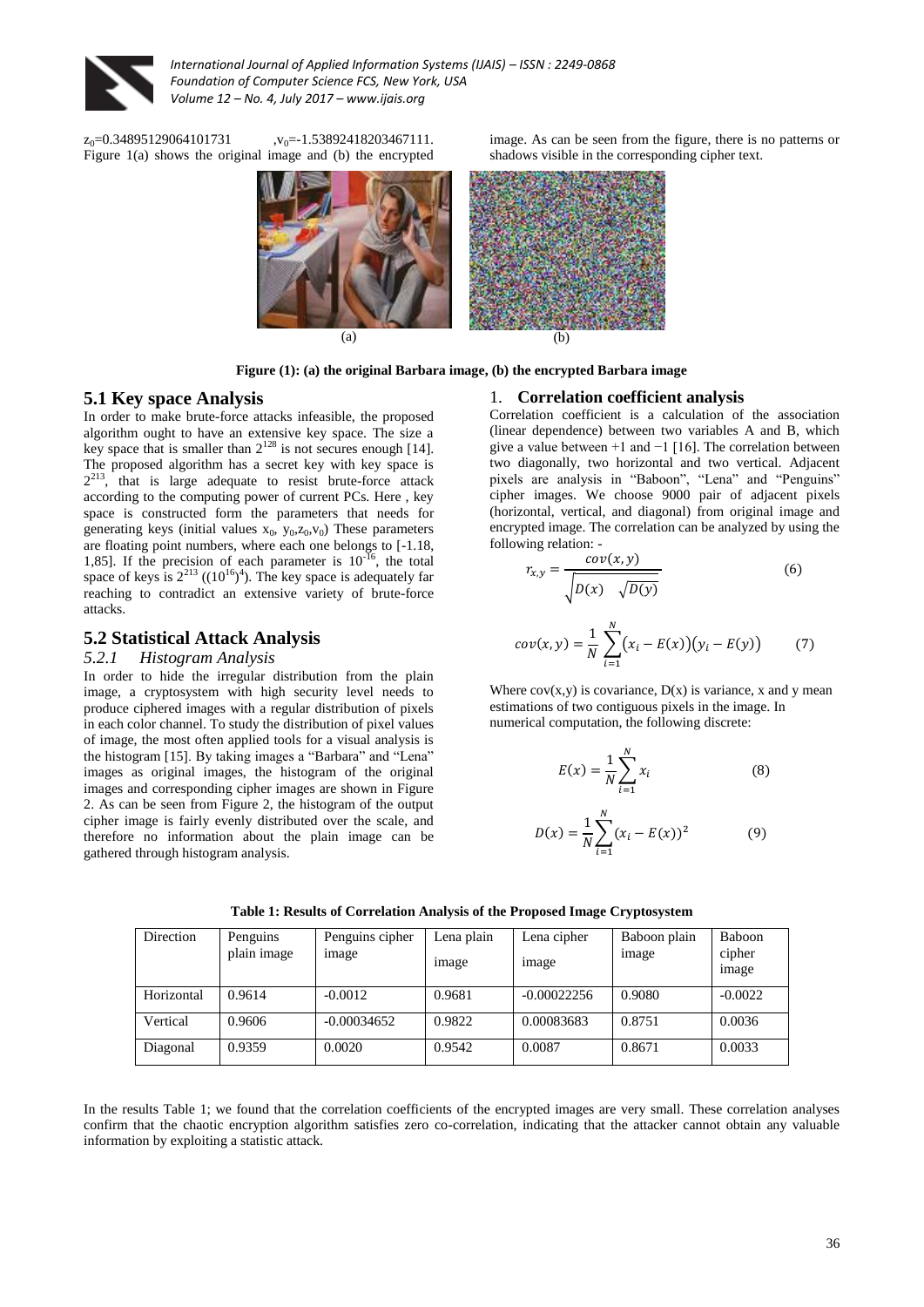

 $z_0=0.34895129064101731$   $v_0=-1.53892418203467111$ . Figure 1(a) shows the original image and (b) the encrypted



**Figure (1): (a) the original Barbara image, (b) the encrypted Barbara image**

# **5.1 Key space Analysis**

In order to make brute-force attacks infeasible, the proposed algorithm ought to have an extensive key space. The size a key space that is smaller than  $2^{128}$  is not secures enough [14]. The proposed algorithm has a secret key with key space is  $2^{213}$ , that is large adequate to resist brute-force attack according to the computing power of current PCs. Here , key space is constructed form the parameters that needs for generating keys (initial values  $x_0$ ,  $y_0$ ,  $z_0$ ,  $v_0$ ) These parameters are floating point numbers, where each one belongs to [-1.18, 1,85]. If the precision of each parameter is  $10^{-16}$ , the total space of keys is  $2^{213}$  ((10<sup>16</sup>)<sup>4</sup>). The key space is adequately far reaching to contradict an extensive variety of brute-force attacks.

# **5.2 Statistical Attack Analysis**

#### *5.2.1 Histogram Analysis*

In order to hide the irregular distribution from the plain image, a cryptosystem with high security level needs to produce ciphered images with a regular distribution of pixels in each color channel. To study the distribution of pixel values of image, the most often applied tools for a visual analysis is the histogram [15]. By taking images a "Barbara" and "Lena" images as original images, the histogram of the original images and corresponding cipher images are shown in Figure 2. As can be seen from Figure 2, the histogram of the output cipher image is fairly evenly distributed over the scale, and therefore no information about the plain image can be gathered through histogram analysis.

1. **Correlation coefficient analysis**

Correlation coefficient is a calculation of the association (linear dependence) between two variables A and B, which give a value between +1 and −1 [16]. The correlation between two diagonally, two horizontal and two vertical. Adjacent pixels are analysis in "Baboon", "Lena" and "Penguins" cipher images. We choose 9000 pair of adjacent pixels (horizontal, vertical, and diagonal) from original image and encrypted image. The correlation can be analyzed by using the following relation: -

image. As can be seen from the figure, there is no patterns or

shadows visible in the corresponding cipher text.

$$
r_{x,y} = \frac{cov(x,y)}{\sqrt{D(x) - \sqrt{D(y)}}}
$$
 (6)

$$
cov(x, y) = \frac{1}{N} \sum_{i=1}^{N} (x_i - E(x))(y_i - E(y))
$$
 (7)

Where  $cov(x,y)$  is covariance,  $D(x)$  is variance, x and y mean estimations of two contiguous pixels in the image. In numerical computation, the following discrete:

$$
E(x) = \frac{1}{N} \sum_{i=1}^{N} x_i
$$
 (8)

$$
D(x) = \frac{1}{N} \sum_{i=1}^{N} (x_i - E(x))^2
$$
 (9)

| <b>Direction</b> | Penguins<br>plain image | Penguins cipher<br><i>image</i> | Lena plain<br><i>image</i> | Lena cipher<br><i>image</i> | Baboon plain<br><i>image</i> | Baboon<br>cipher<br><i>image</i> |
|------------------|-------------------------|---------------------------------|----------------------------|-----------------------------|------------------------------|----------------------------------|
| Horizontal       | 0.9614                  | $-0.0012$                       | 0.9681                     | $-0.00022256$               | 0.9080                       | $-0.0022$                        |
| Vertical         | 0.9606                  | $-0.00034652$                   | 0.9822                     | 0.00083683                  | 0.8751                       | 0.0036                           |
| Diagonal         | 0.9359                  | 0.0020                          | 0.9542                     | 0.0087                      | 0.8671                       | 0.0033                           |

**Table 1: Results of Correlation Analysis of the Proposed Image Cryptosystem**

In the results Table 1; we found that the correlation coefficients of the encrypted images are very small. These correlation analyses confirm that the chaotic encryption algorithm satisfies zero co-correlation, indicating that the attacker cannot obtain any valuable information by exploiting a statistic attack.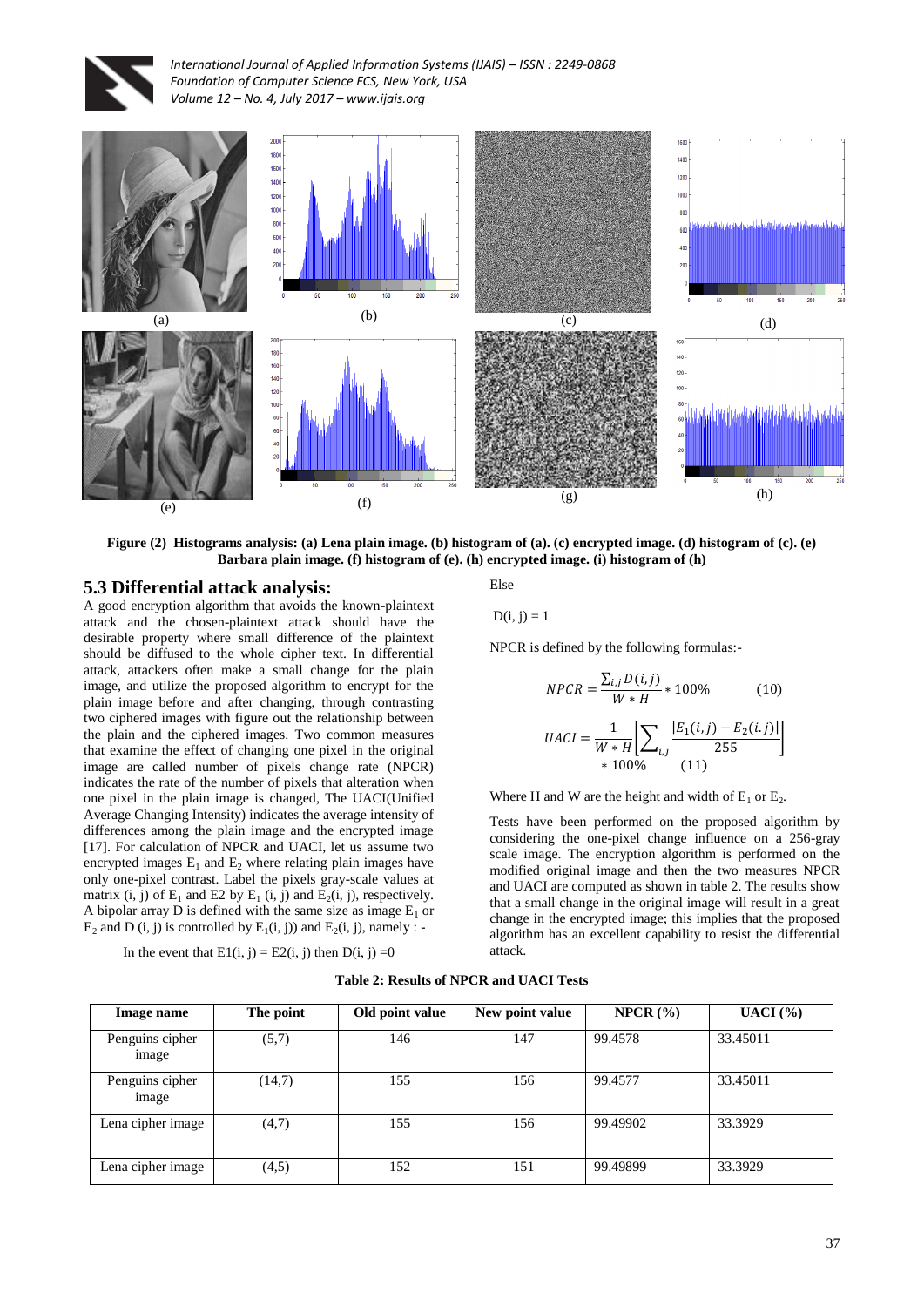



**Figure (2) Histograms analysis: (a) Lena plain image. (b) histogram of (a). (c) encrypted image. (d) histogram of (c). (e) Barbara plain image. (f) histogram of (e). (h) encrypted image. (i) histogram of (h)**

## **5.3 Differential attack analysis:**

A good encryption algorithm that avoids the known-plaintext attack and the chosen-plaintext attack should have the desirable property where small difference of the plaintext should be diffused to the whole cipher text. In differential attack, attackers often make a small change for the plain image, and utilize the proposed algorithm to encrypt for the plain image before and after changing, through contrasting two ciphered images with figure out the relationship between the plain and the ciphered images. Two common measures that examine the effect of changing one pixel in the original image are called number of pixels change rate (NPCR) indicates the rate of the number of pixels that alteration when one pixel in the plain image is changed, The UACI(Unified Average Changing Intensity) indicates the average intensity of differences among the plain image and the encrypted image [17]. For calculation of NPCR and UACI, let us assume two encrypted images  $E_1$  and  $E_2$  where relating plain images have only one-pixel contrast. Label the pixels gray-scale values at matrix (i, j) of  $E_1$  and E2 by  $E_1$  (i, j) and  $E_2$ (i, j), respectively. A bipolar array D is defined with the same size as image  $E_1$  or  $E_2$  and D (i, j) is controlled by  $E_1(i, j)$  and  $E_2(i, j)$ , namely : -

In the event that  $E1(i, j) = E2(i, j)$  then  $D(i, j) =0$ 

Else

 $D(i, j) = 1$ 

NPCR is defined by the following formulas:-

$$
NPCR = \frac{\sum_{i,j} D(i,j)}{W * H} * 100\%
$$
 (10)  

$$
UACI = \frac{1}{W * H} \left[ \sum_{i,j} \frac{|E_1(i,j) - E_2(i,j)|}{255} \right]
$$

$$
* 100\%
$$
 (11)

Where H and W are the height and width of  $E_1$  or  $E_2$ .

Tests have been performed on the proposed algorithm by considering the one-pixel change influence on a 256-gray scale image. The encryption algorithm is performed on the modified original image and then the two measures NPCR and UACI are computed as shown in table 2. The results show that a small change in the original image will result in a great change in the encrypted image; this implies that the proposed algorithm has an excellent capability to resist the differential attack.

**Table 2: Results of NPCR and UACI Tests**

| Image name                      | The point | Old point value | New point value | NPCR $(\% )$ | UACI $(\% )$ |
|---------------------------------|-----------|-----------------|-----------------|--------------|--------------|
| Penguins cipher<br>image        | (5,7)     | 146             | 147             | 99.4578      | 33.45011     |
| Penguins cipher<br><i>image</i> | (14,7)    | 155             | 156             | 99.4577      | 33.45011     |
| Lena cipher image               | (4,7)     | 155             | 156             | 99.49902     | 33.3929      |
| Lena cipher image               | (4,5)     | 152             | 151             | 99.49899     | 33.3929      |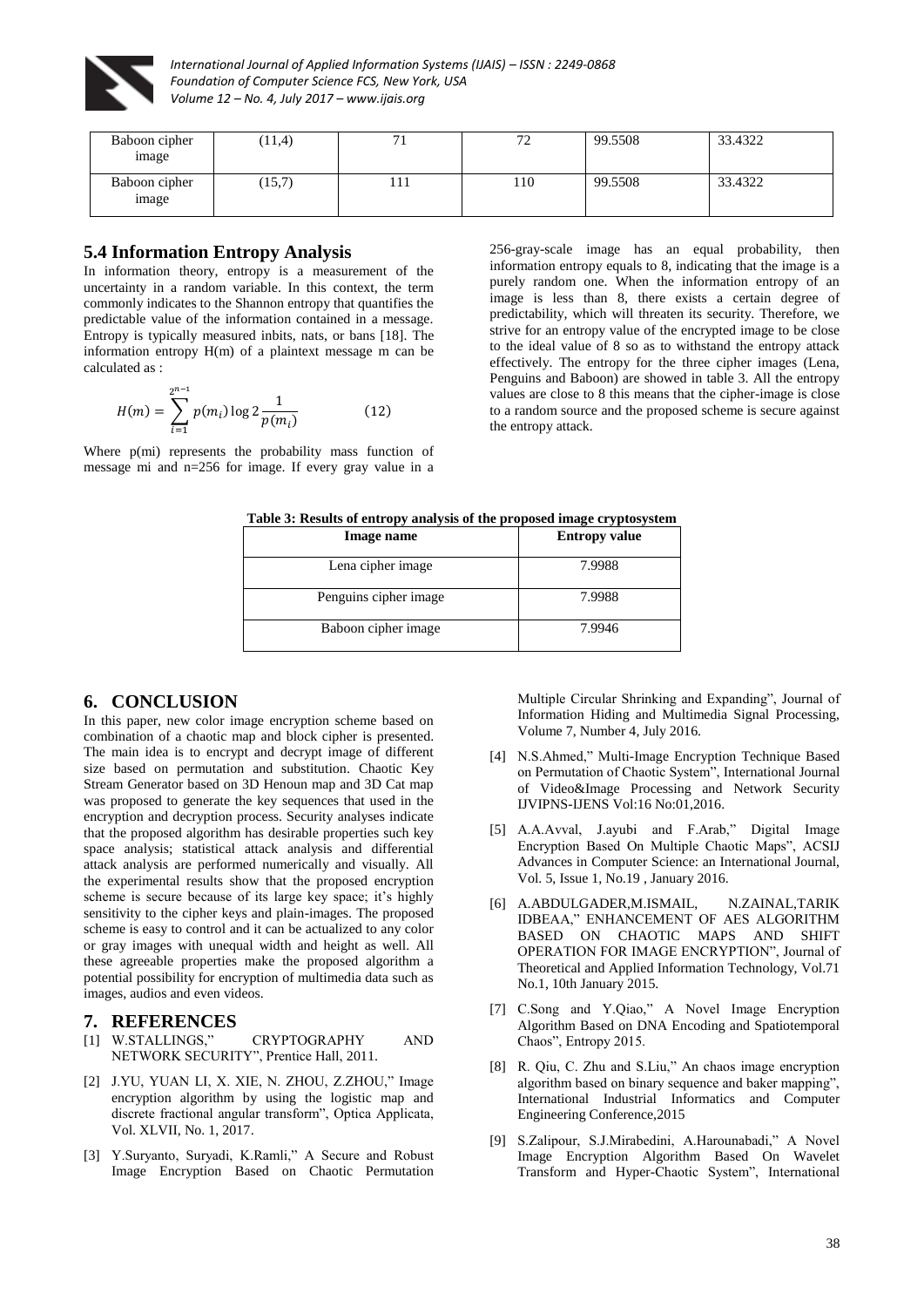

| Baboon cipher<br>image | (11,4) |     | $\mathbf{a}$<br>∼ | 99.5508 | 33.4322 |
|------------------------|--------|-----|-------------------|---------|---------|
| Baboon cipher<br>image | (15,7) | 111 | 110               | 99.5508 | 33.4322 |

# **5.4 Information Entropy Analysis**

In information theory, entropy is a measurement of the uncertainty in a random variable. In this context, the term commonly indicates to the Shannon entropy that quantifies the predictable value of the information contained in a message. Entropy is typically measured inbits, nats, or bans [18]. The information entropy H(m) of a plaintext message m can be calculated as :

$$
H(m) = \sum_{i=1}^{2^{n-1}} p(m_i) \log 2 \frac{1}{p(m_i)}
$$
 (12)

Where  $p$ (mi) represents the probability mass function of message mi and n=256 for image. If every gray value in a 256-gray-scale image has an equal probability, then information entropy equals to 8, indicating that the image is a purely random one. When the information entropy of an image is less than 8, there exists a certain degree of predictability, which will threaten its security. Therefore, we strive for an entropy value of the encrypted image to be close to the ideal value of 8 so as to withstand the entropy attack effectively. The entropy for the three cipher images (Lena, Penguins and Baboon) are showed in table 3. All the entropy values are close to 8 this means that the cipher-image is close to a random source and the proposed scheme is secure against the entropy attack.

**Table 3: Results of entropy analysis of the proposed image cryptosystem**

| Image name            | <b>Entropy value</b> |
|-----------------------|----------------------|
| Lena cipher image     | 7.9988               |
| Penguins cipher image | 7.9988               |
| Baboon cipher image   | 7.9946               |

# **6. CONCLUSION**

In this paper, new color image encryption scheme based on combination of a chaotic map and block cipher is presented. The main idea is to encrypt and decrypt image of different size based on permutation and substitution. Chaotic Key Stream Generator based on 3D Henoun map and 3D Cat map was proposed to generate the key sequences that used in the encryption and decryption process. Security analyses indicate that the proposed algorithm has desirable properties such key space analysis; statistical attack analysis and differential attack analysis are performed numerically and visually. All the experimental results show that the proposed encryption scheme is secure because of its large key space; it's highly sensitivity to the cipher keys and plain-images. The proposed scheme is easy to control and it can be actualized to any color or gray images with unequal width and height as well. All these agreeable properties make the proposed algorithm a potential possibility for encryption of multimedia data such as images, audios and even videos.

# **7. REFERENCES**

- [1] W.STALLINGS," CRYPTOGRAPHY AND NETWORK SECURITY", Prentice Hall, 2011.
- [2] J.YU, YUAN LI, X. XIE, N. ZHOU, Z.ZHOU," Image encryption algorithm by using the logistic map and discrete fractional angular transform", Optica Applicata, Vol. XLVII, No. 1, 2017.
- [3] Y.Suryanto, Suryadi, K.Ramli," A Secure and Robust Image Encryption Based on Chaotic Permutation

Multiple Circular Shrinking and Expanding", Journal of Information Hiding and Multimedia Signal Processing, Volume 7, Number 4, July 2016.

- [4] N.S.Ahmed," Multi-Image Encryption Technique Based on Permutation of Chaotic System", International Journal of Video&Image Processing and Network Security IJVIPNS-IJENS Vol:16 No:01,2016.
- [5] A.A.Avval, J.ayubi and F.Arab," Digital Image Encryption Based On Multiple Chaotic Maps", ACSIJ Advances in Computer Science: an International Journal, Vol. 5, Issue 1, No.19 , January 2016.
- [6] A.ABDULGADER,M.ISMAIL, N.ZAINAL,TARIK IDBEAA," ENHANCEMENT OF AES ALGORITHM BASED ON CHAOTIC MAPS AND SHIFT OPERATION FOR IMAGE ENCRYPTION", Journal of Theoretical and Applied Information Technology, Vol.71 No.1, 10th January 2015.
- [7] C.Song and Y.Qiao," A Novel Image Encryption Algorithm Based on DNA Encoding and Spatiotemporal Chaos", Entropy 2015.
- [8] R. Qiu, C. Zhu and S.Liu," An chaos image encryption algorithm based on binary sequence and baker mapping", International Industrial Informatics and Computer Engineering Conference,2015
- [9] S.Zalipour, S.J.Mirabedini, A.Harounabadi," A Novel Image Encryption Algorithm Based On Wavelet Transform and Hyper-Chaotic System", International